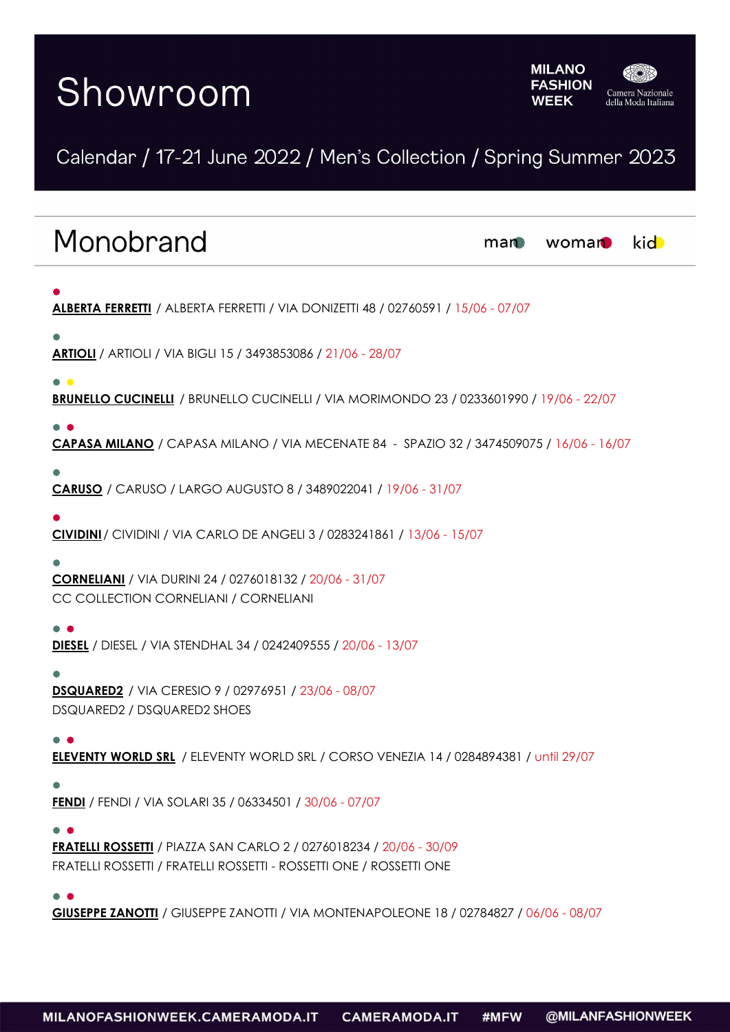# Showroom



## Calendar / 17-21 June 2022 / Men's Collection / Spring Summer 2023

| Monobrand                                                                                                                                                                | man | woman | <b>kid</b> |
|--------------------------------------------------------------------------------------------------------------------------------------------------------------------------|-----|-------|------------|
| ALBERTA FERRETTI / ALBERTA FERRETTI / VIA DONIZETTI 48 / 02760591 / 15/06 - 07/07                                                                                        |     |       |            |
| <b>ARTIOLI</b> / ARTIOLI / VIA BIGLI 15 / 3493853086 / 21/06 - 28/07                                                                                                     |     |       |            |
| $\bullet$ $\bullet$<br><b>BRUNELLO CUCINELLI</b> / BRUNELLO CUCINELLI / VIA MORIMONDO 23 / 0233601990 / 19/06 - 22/07                                                    |     |       |            |
| CAPASA MILANO / CAPASA MILANO / VIA MECENATE 84 - SPAZIO 32 / 3474509075 / 16/06 - 16/07                                                                                 |     |       |            |
| <b>CARUSO</b> / CARUSO / LARGO AUGUSTO 8 / 3489022041 / 19/06 - 31/07                                                                                                    |     |       |            |
| CIVIDINI / CIVIDINI / VIA CARLO DE ANGELI 3 / 0283241861 / 13/06 - 15/07                                                                                                 |     |       |            |
| <b>CORNELIANI</b> / VIA DURINI 24 / 0276018132 / 20/06 - 31/07<br>CC COLLECTION CORNELIANI / CORNELIANI                                                                  |     |       |            |
| <b>DIESEL</b> / DIESEL / VIA STENDHAL 34 / 0242409555 / 20/06 - 13/07                                                                                                    |     |       |            |
| <b>DSQUARED2</b> / VIA CERESIO 9 / 02976951 / 23/06 - 08/07<br>DSQUARED2 / DSQUARED2 SHOES                                                                               |     |       |            |
| ELEVENTY WORLD SRL / ELEVENTY WORLD SRL / CORSO VENEZIA 14 / 0284894381 / until 29/07                                                                                    |     |       |            |
| <b>FENDI</b> / FENDI / VIA SOLARI 35 / 06334501 / 30/06 - 07/07                                                                                                          |     |       |            |
| $\bullet$ $\bullet$<br><b>FRATELLI ROSSETTI</b> / PIAZZA SAN CARLO 2 / 0276018234 / 20/06 - 30/09<br>FRATELLI ROSSETTI / FRATELLI ROSSETTI - ROSSETTI ONE / ROSSETTI ONE |     |       |            |
| GIUSEPPE ZANOTII / GIUSEPPE ZANOTTI / VIA MONTENAPOLEONE 18 / 02784827 / 06/06 - 08/07                                                                                   |     |       |            |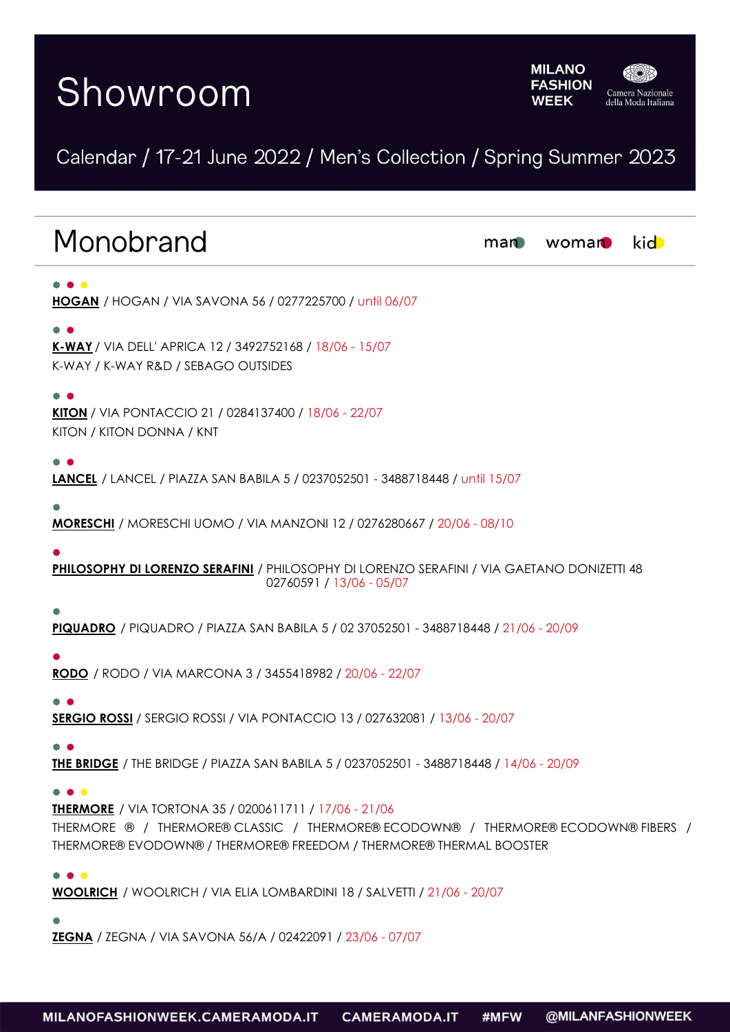# Showroom



## Calendar / 17-21 June 2022 / Men's Collection / Spring Summer 2023

| Monobrand                                                                                                                                                                                                                | man | woman | kid |
|--------------------------------------------------------------------------------------------------------------------------------------------------------------------------------------------------------------------------|-----|-------|-----|
| <b>HOGAN</b> / HOGAN / VIA SAVONA 56 / 0277225700 / until 06/07                                                                                                                                                          |     |       |     |
| K-WAY / VIA DELL' APRICA 12 / 3492752168 / 18/06 - 15/07<br>K-WAY / K-WAY R&D / SEBAGO OUTSIDES                                                                                                                          |     |       |     |
| $\bullet$ $\bullet$<br>KITON / VIA PONTACCIO 21 / 0284137400 / 18/06 - 22/07<br>KITON / KITON DONNA / KNT                                                                                                                |     |       |     |
| <b>LANCEL</b> / LANCEL / PIAZZA SAN BABILA 5 / 0237052501 - 3488718448 / until 15/07                                                                                                                                     |     |       |     |
| <b>MORESCHI</b> / MORESCHI UOMO / VIA MANZONI 12 / 0276280667 / 20/06 - 08/10                                                                                                                                            |     |       |     |
| PHILOSOPHY DI LORENZO SERAFINI / PHILOSOPHY DI LORENZO SERAFINI / VIA GAETANO DONIZETTI 48<br>02760591 / 13/06 - 05/07                                                                                                   |     |       |     |
| PIQUADRO / PIQUADRO / PIAZZA SAN BABILA 5 / 02 37052501 - 3488718448 / 21/06 - 20/09                                                                                                                                     |     |       |     |
| <b>RODO</b> / RODO / VIA MARCONA 3 / 3455418982 / 20/06 - 22/07                                                                                                                                                          |     |       |     |
| <b>SERGIO ROSSI</b> / SERGIO ROSSI / VIA PONTACCIO 13 / 027632081 / 13/06 - 20/07                                                                                                                                        |     |       |     |
| <b>THE BRIDGE</b> / THE BRIDGE / PIAZZA SAN BABILA 5 / 0237052501 - 3488718448 / 14/06 - 20/09                                                                                                                           |     |       |     |
| <b>THERMORE</b> / VIA TORTONA 35 / 0200611711 / 17/06 - 21/06<br>THERMORE ® / THERMORE® CLASSIC / THERMORE® ECODOWN® / THERMORE® ECODOWN® FIBERS /<br>THERMORE® EVODOWN® / THERMORE® FREEDOM / THERMORE® THERMAL BOOSTER |     |       |     |
| $\bullet$ $\bullet$<br>WOOLRICH / WOOLRICH / VIA ELIA LOMBARDINI 18 / SALVETTI / 21/06 - 20/07                                                                                                                           |     |       |     |

**ZEGNA** / ZEGNA / VIA SAVONA 56/A / 02422091 / 23/06 - 07/07